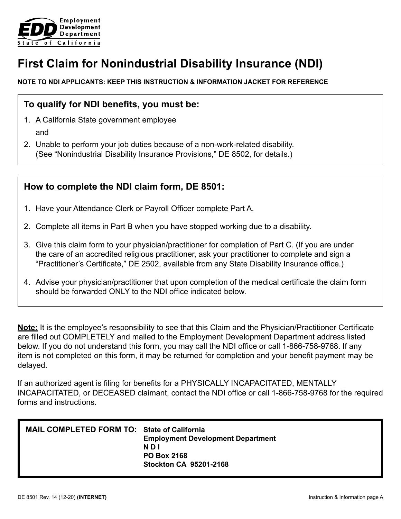

# **First Claim for Nonindustrial Disability Insurance (NDI)**

### **NOTE TO NDI APPLICANTS: KEEP THIS INSTRUCTION & INFORMATION JACKET FOR REFERENCE**

## **To qualify for NDI benefits, you must be:**

- 1. A California State government employee and
- 2. Unable to perform your job duties because of a non-work-related disability. (See "Nonindustrial Disability Insurance Provisions," DE 8502, for details.)

## **How to complete the NDI claim form, DE 8501:**

- 1. Have your Attendance Clerk or Payroll Officer complete Part A.
- 2. Complete all items in Part B when you have stopped working due to a disability.
- 3. Give this claim form to your physician/practitioner for completion of Part C. (If you are under the care of an accredited religious practitioner, ask your practitioner to complete and sign a "Practitioner's Certificate," DE 2502, available from any State Disability Insurance office.)
- 4. Advise your physician/practitioner that upon completion of the medical certificate the claim form should be forwarded ONLY to the NDI office indicated below.

**Note:** It is the employee's responsibility to see that this Claim and the Physician/Practitioner Certificate are filled out COMPLETELY and mailed to the Employment Development Department address listed below. If you do not understand this form, you may call the NDI office or call 1-866-758-9768. If any item is not completed on this form, it may be returned for completion and your benefit payment may be delayed.

If an authorized agent is filing for benefits for a PHYSICALLY INCAPACITATED, MENTALLY INCAPACITATED, or DECEASED claimant, contact the NDI office or call 1-866-758-9768 for the required forms and instructions.

| MAIL COMPLETED FORM TO: State of California | <b>Employment Development Department</b> |  |  |  |
|---------------------------------------------|------------------------------------------|--|--|--|
|                                             | N D I                                    |  |  |  |
|                                             | <b>PO Box 2168</b>                       |  |  |  |
|                                             | <b>Stockton CA 95201-2168</b>            |  |  |  |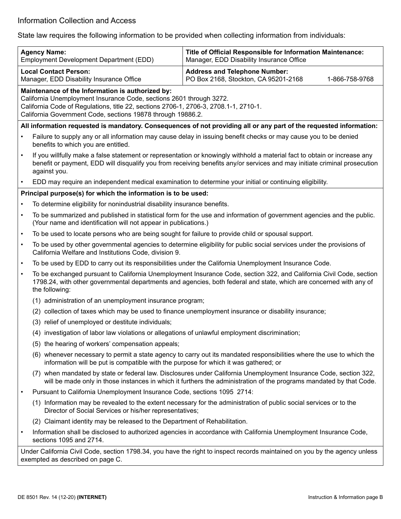State law requires the following information to be provided when collecting information from individuals:

|           | <b>Agency Name:</b><br>Employment Development Department (EDD)                                                                                                                                                                                                                 | Title of Official Responsible for Information Maintenance:<br>Manager, EDD Disability Insurance Office                                                                                                                                   |  |  |  |  |  |  |
|-----------|--------------------------------------------------------------------------------------------------------------------------------------------------------------------------------------------------------------------------------------------------------------------------------|------------------------------------------------------------------------------------------------------------------------------------------------------------------------------------------------------------------------------------------|--|--|--|--|--|--|
|           | <b>Local Contact Person:</b><br>Manager, EDD Disability Insurance Office                                                                                                                                                                                                       | <b>Address and Telephone Number:</b><br>PO Box 2168, Stockton, CA 95201-2168<br>1-866-758-9768                                                                                                                                           |  |  |  |  |  |  |
|           |                                                                                                                                                                                                                                                                                |                                                                                                                                                                                                                                          |  |  |  |  |  |  |
|           | Maintenance of the Information is authorized by:<br>California Unemployment Insurance Code, sections 2601 through 3272.<br>California Code of Regulations, title 22, sections 2706-1, 2706-3, 2708.1-1, 2710-1.<br>California Government Code, sections 19878 through 19886.2. |                                                                                                                                                                                                                                          |  |  |  |  |  |  |
|           | All information requested is mandatory. Consequences of not providing all or any part of the requested information:                                                                                                                                                            |                                                                                                                                                                                                                                          |  |  |  |  |  |  |
| $\bullet$ | Failure to supply any or all information may cause delay in issuing benefit checks or may cause you to be denied<br>benefits to which you are entitled.                                                                                                                        |                                                                                                                                                                                                                                          |  |  |  |  |  |  |
| $\bullet$ | If you willfully make a false statement or representation or knowingly withhold a material fact to obtain or increase any<br>benefit or payment, EDD will disqualify you from receiving benefits any/or services and may initiate criminal prosecution<br>against you.         |                                                                                                                                                                                                                                          |  |  |  |  |  |  |
| $\bullet$ | EDD may require an independent medical examination to determine your initial or continuing eligibility.                                                                                                                                                                        |                                                                                                                                                                                                                                          |  |  |  |  |  |  |
|           | Principal purpose(s) for which the information is to be used:                                                                                                                                                                                                                  |                                                                                                                                                                                                                                          |  |  |  |  |  |  |
| $\bullet$ | To determine eligibility for nonindustrial disability insurance benefits.                                                                                                                                                                                                      |                                                                                                                                                                                                                                          |  |  |  |  |  |  |
| $\bullet$ | To be summarized and published in statistical form for the use and information of government agencies and the public.<br>(Your name and identification will not appear in publications.)                                                                                       |                                                                                                                                                                                                                                          |  |  |  |  |  |  |
| $\bullet$ | To be used to locate persons who are being sought for failure to provide child or spousal support.                                                                                                                                                                             |                                                                                                                                                                                                                                          |  |  |  |  |  |  |
| $\bullet$ | To be used by other governmental agencies to determine eligibility for public social services under the provisions of<br>California Welfare and Institutions Code, division 9.                                                                                                 |                                                                                                                                                                                                                                          |  |  |  |  |  |  |
| $\bullet$ | To be used by EDD to carry out its responsibilities under the California Unemployment Insurance Code.                                                                                                                                                                          |                                                                                                                                                                                                                                          |  |  |  |  |  |  |
| $\bullet$ | To be exchanged pursuant to California Unemployment Insurance Code, section 322, and California Civil Code, section<br>1798.24, with other governmental departments and agencies, both federal and state, which are concerned with any of<br>the following:                    |                                                                                                                                                                                                                                          |  |  |  |  |  |  |
|           | (1) administration of an unemployment insurance program;                                                                                                                                                                                                                       |                                                                                                                                                                                                                                          |  |  |  |  |  |  |
|           | (2) collection of taxes which may be used to finance unemployment insurance or disability insurance;                                                                                                                                                                           |                                                                                                                                                                                                                                          |  |  |  |  |  |  |
|           | (3) relief of unemployed or destitute individuals;                                                                                                                                                                                                                             |                                                                                                                                                                                                                                          |  |  |  |  |  |  |
|           | (4) investigation of labor law violations or allegations of unlawful employment discrimination;                                                                                                                                                                                |                                                                                                                                                                                                                                          |  |  |  |  |  |  |
|           | (5) the hearing of workers' compensation appeals;                                                                                                                                                                                                                              |                                                                                                                                                                                                                                          |  |  |  |  |  |  |
|           | information will be put is compatible with the purpose for which it was gathered; or                                                                                                                                                                                           | (6) whenever necessary to permit a state agency to carry out its mandated responsibilities where the use to which the                                                                                                                    |  |  |  |  |  |  |
|           |                                                                                                                                                                                                                                                                                | (7) when mandated by state or federal law. Disclosures under California Unemployment Insurance Code, section 322,<br>will be made only in those instances in which it furthers the administration of the programs mandated by that Code. |  |  |  |  |  |  |
| $\bullet$ | Pursuant to California Unemployment Insurance Code, sections 1095 2714:                                                                                                                                                                                                        |                                                                                                                                                                                                                                          |  |  |  |  |  |  |
|           | Director of Social Services or his/her representatives;                                                                                                                                                                                                                        | (1) Information may be revealed to the extent necessary for the administration of public social services or to the                                                                                                                       |  |  |  |  |  |  |
|           | (2) Claimant identity may be released to the Department of Rehabilitation.                                                                                                                                                                                                     |                                                                                                                                                                                                                                          |  |  |  |  |  |  |
| $\bullet$ | sections 1095 and 2714.                                                                                                                                                                                                                                                        | Information shall be disclosed to authorized agencies in accordance with California Unemployment Insurance Code,                                                                                                                         |  |  |  |  |  |  |
|           | Under California Civil Code, section 1798.34, you have the right to inspect records maintained on you by the agency unless<br>exempted as described on page C.                                                                                                                 |                                                                                                                                                                                                                                          |  |  |  |  |  |  |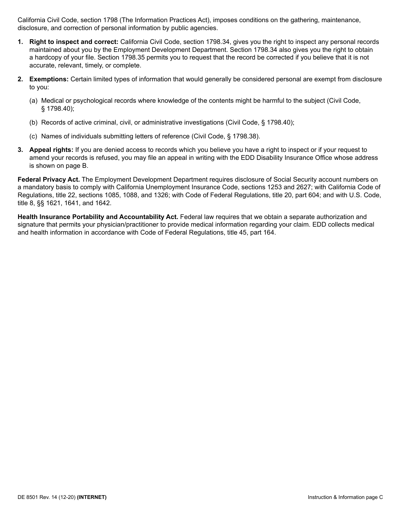California Civil Code, section 1798 (The Information Practices Act), imposes conditions on the gathering, maintenance, disclosure, and correction of personal information by public agencies.

- **1. Right to inspect and correct:** California Civil Code, section 1798.34, gives you the right to inspect any personal records maintained about you by the Employment Development Department. Section 1798.34 also gives you the right to obtain a hardcopy of your file. Section 1798.35 permits you to request that the record be corrected if you believe that it is not accurate, relevant, timely, or complete.
- **2. Exemptions:** Certain limited types of information that would generally be considered personal are exempt from disclosure to you:
	- (a) Medical or psychological records where knowledge of the contents might be harmful to the subject (Civil Code, § 1798.40);
	- (b) Records of active criminal, civil, or administrative investigations (Civil Code, § 1798.40);
	- (c) Names of individuals submitting letters of reference (Civil Code, § 1798.38).
- **3. Appeal rights:** If you are denied access to records which you believe you have a right to inspect or if your request to amend your records is refused, you may file an appeal in writing with the EDD Disability Insurance Office whose address is shown on page B.

**Federal Privacy Act.** The Employment Development Department requires disclosure of Social Security account numbers on a mandatory basis to comply with California Unemployment Insurance Code, sections 1253 and 2627; with California Code of Regulations, title 22, sections 1085, 1088, and 1326; with Code of Federal Regulations, title 20, part 604; and with U.S. Code, title 8, §§ 1621, 1641, and 1642.

**Health Insurance Portability and Accountability Act.** Federal law requires that we obtain a separate authorization and signature that permits your physician/practitioner to provide medical information regarding your claim. EDD collects medical and health information in accordance with Code of Federal Regulations, title 45, part 164.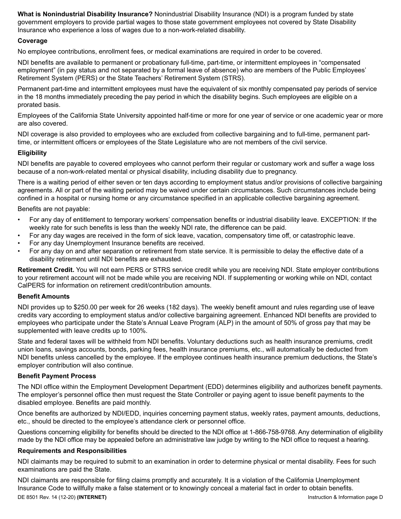**What is Nonindustrial Disability Insurance?** Nonindustrial Disability Insurance (NDI) is a program funded by state government employers to provide partial wages to those state government employees not covered by State Disability Insurance who experience a loss of wages due to a non-work-related disability.

#### **Coverage**

No employee contributions, enrollment fees, or medical examinations are required in order to be covered.

NDI benefits are available to permanent or probationary full-time, part-time, or intermittent employees in "compensated employment" (in pay status and not separated by a formal leave of absence) who are members of the Public Employees' Retirement System (PERS) or the State Teachers' Retirement System (STRS).

Permanent part-time and intermittent employees must have the equivalent of six monthly compensated pay periods of service in the 18 months immediately preceding the pay period in which the disability begins. Such employees are eligible on a prorated basis.

Employees of the California State University appointed half-time or more for one year of service or one academic year or more are also covered.

NDI coverage is also provided to employees who are excluded from collective bargaining and to full-time, permanent parttime, or intermittent officers or employees of the State Legislature who are not members of the civil service.

#### **Eligibility**

NDI benefits are payable to covered employees who cannot perform their regular or customary work and suffer a wage loss because of a non-work-related mental or physical disability, including disability due to pregnancy.

There is a waiting period of either seven or ten days according to employment status and/or provisions of collective bargaining agreements. All or part of the waiting period may be waived under certain circumstances. Such circumstances include being confined in a hospital or nursing home or any circumstance specified in an applicable collective bargaining agreement.

Benefits are not payable:

- For any day of entitlement to temporary workers' compensation benefits or industrial disability leave. EXCEPTION: If the weekly rate for such benefits is less than the weekly NDI rate, the difference can be paid.
- For any day wages are received in the form of sick leave, vacation, compensatory time off, or catastrophic leave.
- For any day Unemployment Insurance benefits are received.
- For any day on and after separation or retirement from state service. It is permissible to delay the effective date of a disability retirement until NDI benefits are exhausted.

**Retirement Credit.** You will not earn PERS or STRS service credit while you are receiving NDI. State employer contributions to your retirement account will not be made while you are receiving NDI. If supplementing or working while on NDI, contact CalPERS for information on retirement credit/contribution amounts.

#### **Benefit Amounts**

NDI provides up to \$250.00 per week for 26 weeks (182 days). The weekly benefit amount and rules regarding use of leave credits vary according to employment status and/or collective bargaining agreement. Enhanced NDI benefits are provided to employees who participate under the State's Annual Leave Program (ALP) in the amount of 50% of gross pay that may be supplemented with leave credits up to 100%.

State and federal taxes will be withheld from NDI benefits. Voluntary deductions such as health insurance premiums, credit union loans, savings accounts, bonds, parking fees, health insurance premiums, etc., will automatically be deducted from NDI benefits unless cancelled by the employee. If the employee continues health insurance premium deductions, the State's employer contribution will also continue.

#### **Benefit Payment Process**

The NDI office within the Employment Development Department (EDD) determines eligibility and authorizes benefit payments. The employer's personnel office then must request the State Controller or paying agent to issue benefit payments to the disabled employee. Benefits are paid monthly.

Once benefits are authorized by NDI/EDD, inquiries concerning payment status, weekly rates, payment amounts, deductions, etc., should be directed to the employee's attendance clerk or personnel office.

Questions concerning eligibility for benefits should be directed to the NDI office at 1-866-758-9768. Any determination of eligibility made by the NDI office may be appealed before an administrative law judge by writing to the NDI office to request a hearing.

#### **Requirements and Responsibilities**

NDI claimants may be required to submit to an examination in order to determine physical or mental disability. Fees for such examinations are paid the State.

DE 8501 Rev. 14 (12-20) **(INTERNET)** Instruction & Information page D NDI claimants are responsible for filing claims promptly and accurately. It is a violation of the California Unemployment Insurance Code to willfully make a false statement or to knowingly conceal a material fact in order to obtain benefits.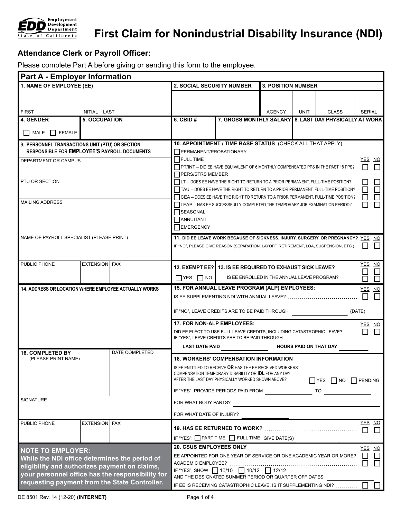

# **First Claim for Nonindustrial Disability Insurance (NDI)**

### **Attendance Clerk or Payroll Officer:**

Please complete Part A before giving or sending this form to the employee.

| <b>Part A - Employer Information</b>                                                            |                      |                                                                                                                                                         |                                                                                                                                                                              |                                                                                     |                           |             |              |                |               |  |
|-------------------------------------------------------------------------------------------------|----------------------|---------------------------------------------------------------------------------------------------------------------------------------------------------|------------------------------------------------------------------------------------------------------------------------------------------------------------------------------|-------------------------------------------------------------------------------------|---------------------------|-------------|--------------|----------------|---------------|--|
| 1. NAME OF EMPLOYEE (EE)                                                                        |                      | <b>2. SOCIAL SECURITY NUMBER</b>                                                                                                                        |                                                                                                                                                                              |                                                                                     | <b>3. POSITION NUMBER</b> |             |              |                |               |  |
|                                                                                                 |                      |                                                                                                                                                         |                                                                                                                                                                              |                                                                                     |                           |             |              |                |               |  |
|                                                                                                 |                      |                                                                                                                                                         |                                                                                                                                                                              |                                                                                     |                           |             |              |                |               |  |
| <b>FIRST</b>                                                                                    | INITIAL LAST         |                                                                                                                                                         |                                                                                                                                                                              |                                                                                     | <b>AGENCY</b>             | <b>UNIT</b> | <b>CLASS</b> |                | <b>SERIAL</b> |  |
| <b>4. GENDER</b>                                                                                | <b>5. OCCUPATION</b> |                                                                                                                                                         | $6.$ CBID $#$                                                                                                                                                                | 7. GROSS MONTHLY SALARY 8. LAST DAY PHYSICALLY AT WORK                              |                           |             |              |                |               |  |
| MALE<br><b>FEMALE</b>                                                                           |                      |                                                                                                                                                         |                                                                                                                                                                              |                                                                                     |                           |             |              |                |               |  |
| 9. PERSONNEL TRANSACTIONS UNIT (PTU) OR SECTION<br>RESPONSIBLE FOR EMPLOYEE'S PAYROLL DOCUMENTS |                      |                                                                                                                                                         | 10. APPOINTMENT / TIME BASE STATUS (CHECK ALL THAT APPLY)                                                                                                                    |                                                                                     |                           |             |              |                |               |  |
| DEPARTMENT OR CAMPUS                                                                            |                      |                                                                                                                                                         | PERMANENT/PROBATIONARY<br><b>FULL TIME</b><br>YES NO                                                                                                                         |                                                                                     |                           |             |              |                |               |  |
|                                                                                                 |                      |                                                                                                                                                         | PT/INT - DID EE HAVE EQUIVALENT OF 6 MONTHLY COMPENSATED PPS IN THE PAST 18 PPS?                                                                                             |                                                                                     |                           |             |              |                |               |  |
|                                                                                                 |                      |                                                                                                                                                         | PERS/STRS MEMBER                                                                                                                                                             |                                                                                     |                           |             |              |                |               |  |
| PTU OR SECTION                                                                                  |                      |                                                                                                                                                         | $\Box$ LT $-$ DOES EE HAVE THE RIGHT TO RETURN TO A PRIOR PERMANENT, FULL-TIME POSITION?<br>TAU - DOES EE HAVE THE RIGHT TO RETURN TO A PRIOR PERMANENT, FULL-TIME POSITION? |                                                                                     |                           |             |              |                |               |  |
| <b>MAILING ADDRESS</b>                                                                          |                      |                                                                                                                                                         |                                                                                                                                                                              | CEA - DOES EE HAVE THE RIGHT TO RETURN TO A PRIOR PERMANENT, FULL-TIME POSITION?    |                           |             |              |                |               |  |
|                                                                                                 |                      |                                                                                                                                                         | LEAP - HAS EE SUCCESSFULLY COMPLETED THE TEMPORARY JOB EXAMINATION PERIOD?<br><b>SEASONAL</b>                                                                                |                                                                                     |                           |             |              |                |               |  |
|                                                                                                 |                      |                                                                                                                                                         | ANNUITANT                                                                                                                                                                    |                                                                                     |                           |             |              |                |               |  |
|                                                                                                 |                      |                                                                                                                                                         | EMERGENCY                                                                                                                                                                    |                                                                                     |                           |             |              |                |               |  |
| NAME OF PAYROLL SPECIALIST (PLEASE PRINT)                                                       |                      |                                                                                                                                                         |                                                                                                                                                                              | 11. DID EE LEAVE WORK BECAUSE OF SICKNESS, INJURY, SURGERY, OR PREGNANCY? YES NO    |                           |             |              |                |               |  |
|                                                                                                 |                      |                                                                                                                                                         |                                                                                                                                                                              | IF "NO", PLEASE GIVE REASON (SEPARATION, LAYOFF, RETIREMENT, LOA, SUSPENSION, ETC.) |                           |             |              |                |               |  |
|                                                                                                 |                      |                                                                                                                                                         |                                                                                                                                                                              |                                                                                     |                           |             |              |                |               |  |
| PUBLIC PHONE                                                                                    | <b>EXTENSION FAX</b> |                                                                                                                                                         |                                                                                                                                                                              | 12. EXEMPT EE? 13. IS EE REQUIRED TO EXHAUST SICK LEAVE?                            |                           |             |              |                | YES NO        |  |
|                                                                                                 |                      |                                                                                                                                                         | I YES I NO                                                                                                                                                                   | IS EE ENROLLED IN THE ANNUAL LEAVE PROGRAM?                                         |                           |             |              |                | П             |  |
| 14. ADDRESS OR LOCATION WHERE EMPLOYEE ACTUALLY WORKS                                           |                      |                                                                                                                                                         |                                                                                                                                                                              | 15. FOR ANNUAL LEAVE PROGRAM (ALP) EMPLOYEES:                                       |                           |             |              |                | YES NO        |  |
|                                                                                                 |                      |                                                                                                                                                         | IS EE SUPPLEMENTING NDI WITH ANNUAL LEAVE?                                                                                                                                   |                                                                                     |                           |             |              |                |               |  |
|                                                                                                 |                      |                                                                                                                                                         | IF "NO", LEAVE CREDITS ARE TO BE PAID THROUGH<br>(DATE)                                                                                                                      |                                                                                     |                           |             |              |                |               |  |
|                                                                                                 |                      |                                                                                                                                                         | <b>17. FOR NON-ALP EMPLOYEES:</b><br>YES NO                                                                                                                                  |                                                                                     |                           |             |              |                |               |  |
|                                                                                                 |                      | DID EE ELECT TO USE FULL LEAVE CREDITS, INCLUDING CATASTROPHIC LEAVE?<br>IF "YES", LEAVE CREDITS ARE TO BE PAID THROUGH                                 |                                                                                                                                                                              |                                                                                     |                           |             |              |                |               |  |
|                                                                                                 |                      |                                                                                                                                                         | <b>LAST DATE PAID</b><br><b>HOURS PAID ON THAT DAY</b>                                                                                                                       |                                                                                     |                           |             |              |                |               |  |
| <b>16. COMPLETED BY</b><br>(PLEASE PRINT NAME)                                                  |                      | DATE COMPLETED                                                                                                                                          | <b>18. WORKERS' COMPENSATION INFORMATION</b>                                                                                                                                 |                                                                                     |                           |             |              |                |               |  |
|                                                                                                 |                      |                                                                                                                                                         | IS EE ENTITLED TO RECEIVE OR HAS THE EE RECEIVED WORKERS'                                                                                                                    |                                                                                     |                           |             |              |                |               |  |
|                                                                                                 |                      | COMPENSATION TEMPORARY DISABILITY OR <b>IDL</b> FOR ANY DAY<br>AFTER THE LAST DAY PHYSICALLY WORKED SHOWN ABOVE?<br>$\Box$ YES $\Box$ NO $\Box$ PENDING |                                                                                                                                                                              |                                                                                     |                           |             |              |                |               |  |
|                                                                                                 |                      |                                                                                                                                                         |                                                                                                                                                                              | IF "YES", PROVIDE PERIODS PAID FROM                                                 |                           |             | TO           |                |               |  |
| <b>SIGNATURE</b>                                                                                |                      |                                                                                                                                                         | FOR WHAT BODY PARTS?                                                                                                                                                         |                                                                                     |                           |             |              |                |               |  |
|                                                                                                 |                      |                                                                                                                                                         | FOR WHAT DATE OF INJURY?                                                                                                                                                     |                                                                                     |                           |             |              |                |               |  |
| PUBLIC PHONE                                                                                    | <b>EXTENSION FAX</b> |                                                                                                                                                         |                                                                                                                                                                              |                                                                                     |                           |             |              | П              | YES NO<br>П   |  |
|                                                                                                 |                      |                                                                                                                                                         |                                                                                                                                                                              | IF "YES": PART TIME FULL TIME GIVE DATE(S)                                          |                           |             |              |                |               |  |
|                                                                                                 |                      |                                                                                                                                                         | <b>20. CSUS EMPLOYEES ONLY</b>                                                                                                                                               |                                                                                     |                           |             |              |                | YES NO        |  |
| <b>NOTE TO EMPLOYER:</b><br>While the NDI office determines the period of                       |                      |                                                                                                                                                         |                                                                                                                                                                              | EE APPOINTED FOR ONE YEAR OF SERVICE OR ONE ACADEMIC YEAR OR MORE?                  |                           |             |              | $\blacksquare$ | $\mathbf{L}$  |  |
| eligibility and authorizes payment on claims,                                                   |                      |                                                                                                                                                         | $\Box$<br>П<br>IF "YES", SHOW 310/10 310/12 312/12                                                                                                                           |                                                                                     |                           |             |              |                |               |  |
| your personnel office has the responsibility for                                                |                      |                                                                                                                                                         |                                                                                                                                                                              | AND THE DESIGNATED SUMMER PERIOD OR QUARTER OFF DATES:                              |                           |             |              |                |               |  |
| requesting payment from the State Controller.                                                   |                      |                                                                                                                                                         | IF EE IS RECEIVING CATASTROPHIC LEAVE, IS IT SUPPLEMENTING NDI?                                                                                                              |                                                                                     |                           |             |              |                |               |  |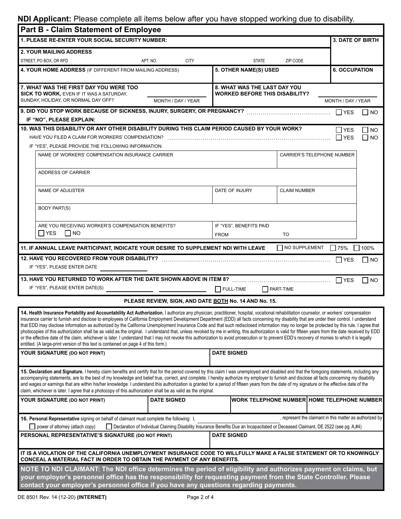## **NDI Applicant:** Please complete all items below after you have stopped working due to disability.

| <b>Part B - Claim Statement of Employee</b>                                                                                                                                                                                                                                                                                                                                                                                                                                                                                                                                                                                                                                                                                                                                                                                                                                                                                                                                                                                                                                           |                         |                                                                                                                                    |                                   |                                                          |
|---------------------------------------------------------------------------------------------------------------------------------------------------------------------------------------------------------------------------------------------------------------------------------------------------------------------------------------------------------------------------------------------------------------------------------------------------------------------------------------------------------------------------------------------------------------------------------------------------------------------------------------------------------------------------------------------------------------------------------------------------------------------------------------------------------------------------------------------------------------------------------------------------------------------------------------------------------------------------------------------------------------------------------------------------------------------------------------|-------------------------|------------------------------------------------------------------------------------------------------------------------------------|-----------------------------------|----------------------------------------------------------|
| 1. PLEASE RE-ENTER YOUR SOCIAL SECURITY NUMBER:                                                                                                                                                                                                                                                                                                                                                                                                                                                                                                                                                                                                                                                                                                                                                                                                                                                                                                                                                                                                                                       |                         |                                                                                                                                    |                                   | <b>3. DATE OF BIRTH</b>                                  |
| <b>2. YOUR MAILING ADDRESS</b>                                                                                                                                                                                                                                                                                                                                                                                                                                                                                                                                                                                                                                                                                                                                                                                                                                                                                                                                                                                                                                                        |                         |                                                                                                                                    |                                   |                                                          |
| STREET. PO BOX. OR RFD                                                                                                                                                                                                                                                                                                                                                                                                                                                                                                                                                                                                                                                                                                                                                                                                                                                                                                                                                                                                                                                                | APT. NO.<br><b>CITY</b> | <b>STATE</b>                                                                                                                       | ZIP CODE                          |                                                          |
| 4. YOUR HOME ADDRESS (IF DIFFERENT FROM MAILING ADDRESS)                                                                                                                                                                                                                                                                                                                                                                                                                                                                                                                                                                                                                                                                                                                                                                                                                                                                                                                                                                                                                              |                         | 5. OTHER NAME(S) USED                                                                                                              |                                   | <b>6. OCCUPATION</b>                                     |
| 7. WHAT WAS THE FIRST DAY YOU WERE TOO<br><b>SICK TO WORK, EVEN IF IT WAS A SATURDAY,</b>                                                                                                                                                                                                                                                                                                                                                                                                                                                                                                                                                                                                                                                                                                                                                                                                                                                                                                                                                                                             |                         | 8. WHAT WAS THE LAST DAY YOU<br><b>WORKED BEFORE THIS DISABILITY?</b>                                                              |                                   |                                                          |
| SUNDAY, HOLIDAY, OR NORMAL DAY OFF?                                                                                                                                                                                                                                                                                                                                                                                                                                                                                                                                                                                                                                                                                                                                                                                                                                                                                                                                                                                                                                                   | MONTH / DAY / YEAR      |                                                                                                                                    |                                   | MONTH / DAY / YEAR                                       |
| IF "NO", PLEASE EXPLAIN:                                                                                                                                                                                                                                                                                                                                                                                                                                                                                                                                                                                                                                                                                                                                                                                                                                                                                                                                                                                                                                                              |                         |                                                                                                                                    |                                   | $\Box$ NO                                                |
| 10. WAS THIS DISABILITY OR ANY OTHER DISABILITY DURING THIS CLAIM PERIOD CAUSED BY YOUR WORK?                                                                                                                                                                                                                                                                                                                                                                                                                                                                                                                                                                                                                                                                                                                                                                                                                                                                                                                                                                                         |                         |                                                                                                                                    |                                   | $\Box$ YES<br>$\Box$ No                                  |
|                                                                                                                                                                                                                                                                                                                                                                                                                                                                                                                                                                                                                                                                                                                                                                                                                                                                                                                                                                                                                                                                                       |                         |                                                                                                                                    |                                   | I IYES<br>$\Box$ NO                                      |
| IF "YES", PLEASE PROVIDE THE FOLLOWING INFORMATION:                                                                                                                                                                                                                                                                                                                                                                                                                                                                                                                                                                                                                                                                                                                                                                                                                                                                                                                                                                                                                                   |                         |                                                                                                                                    |                                   |                                                          |
| NAME OF WORKERS' COMPENSATION INSURANCE CARRIER                                                                                                                                                                                                                                                                                                                                                                                                                                                                                                                                                                                                                                                                                                                                                                                                                                                                                                                                                                                                                                       |                         |                                                                                                                                    | <b>CARRIER'S TELEPHONE NUMBER</b> |                                                          |
| ADDRESS OF CARRIER                                                                                                                                                                                                                                                                                                                                                                                                                                                                                                                                                                                                                                                                                                                                                                                                                                                                                                                                                                                                                                                                    |                         |                                                                                                                                    |                                   |                                                          |
| <b>NAME OF ADJUSTER</b>                                                                                                                                                                                                                                                                                                                                                                                                                                                                                                                                                                                                                                                                                                                                                                                                                                                                                                                                                                                                                                                               |                         | DATE OF INJURY                                                                                                                     | <b>CLAIM NUMBER</b>               |                                                          |
| <b>BODY PART(S)</b>                                                                                                                                                                                                                                                                                                                                                                                                                                                                                                                                                                                                                                                                                                                                                                                                                                                                                                                                                                                                                                                                   |                         |                                                                                                                                    |                                   |                                                          |
| ARE YOU RECEIVING WORKER'S COMPENSATION BENEFITS?                                                                                                                                                                                                                                                                                                                                                                                                                                                                                                                                                                                                                                                                                                                                                                                                                                                                                                                                                                                                                                     |                         | IF "YES", BENEFITS PAID                                                                                                            |                                   |                                                          |
| ∏ YES<br>$\Box$ NO                                                                                                                                                                                                                                                                                                                                                                                                                                                                                                                                                                                                                                                                                                                                                                                                                                                                                                                                                                                                                                                                    |                         | <b>FROM</b>                                                                                                                        | <b>TO</b>                         |                                                          |
| 11. IF ANNUAL LEAVE PARTICIPANT, INDICATE YOUR DESIRE TO SUPPLEMENT NDI WITH LEAVE                                                                                                                                                                                                                                                                                                                                                                                                                                                                                                                                                                                                                                                                                                                                                                                                                                                                                                                                                                                                    |                         |                                                                                                                                    | $\Box$ NO SUPPLEMENT              | $\Box$ 75%<br>$\Box$ 100%                                |
|                                                                                                                                                                                                                                                                                                                                                                                                                                                                                                                                                                                                                                                                                                                                                                                                                                                                                                                                                                                                                                                                                       |                         |                                                                                                                                    |                                   | I IYES<br>$\Box$ NO                                      |
| IF "YES", PLEASE ENTER DATE                                                                                                                                                                                                                                                                                                                                                                                                                                                                                                                                                                                                                                                                                                                                                                                                                                                                                                                                                                                                                                                           |                         |                                                                                                                                    |                                   |                                                          |
|                                                                                                                                                                                                                                                                                                                                                                                                                                                                                                                                                                                                                                                                                                                                                                                                                                                                                                                                                                                                                                                                                       |                         |                                                                                                                                    |                                   | $\Gamma$ YES<br>I INO                                    |
|                                                                                                                                                                                                                                                                                                                                                                                                                                                                                                                                                                                                                                                                                                                                                                                                                                                                                                                                                                                                                                                                                       |                         | FULL-TIME                                                                                                                          | $\Box$ PART-TIME                  |                                                          |
|                                                                                                                                                                                                                                                                                                                                                                                                                                                                                                                                                                                                                                                                                                                                                                                                                                                                                                                                                                                                                                                                                       |                         | PLEASE REVIEW, SIGN, AND DATE BOTH No. 14 AND No. 15.                                                                              |                                   |                                                          |
| 14. Health Insurance Portability and Accountability Act Authorization. I authorize any physician, practitioner, hospital, vocational rehabilitation counselor, or workers' compensation<br>insurance carrier to furnish and disclose to employees of California Employment Development Department (EDD) all facts concerning my disability that are under their control. I understand<br>that EDD may disclose information as authorized by the California Unemployment Insurance Code and that such redisclosed information may no longer be protected by this rule. I agree that<br>photocopies of this authorization shall be as valid as the original. I understand that, unless revoked by me in writing, this authorization is valid for fifteen years from the date received by EDD<br>or the effective date of the claim, whichever is later. I understand that I may not revoke this authorization to avoid prosecution or to prevent EDD's recovery of monies to which it is legally<br>entitled. (A large-print version of this text is contained on page 4 of this form.) |                         |                                                                                                                                    |                                   |                                                          |
| YOUR SIGNATURE (DO NOT PRINT)                                                                                                                                                                                                                                                                                                                                                                                                                                                                                                                                                                                                                                                                                                                                                                                                                                                                                                                                                                                                                                                         |                         | <b>DATE SIGNED</b>                                                                                                                 |                                   |                                                          |
| 15. Declaration and Signature. I hereby claim benefits and certify that for the period covered by this claim I was unemployed and disabled and that the foregoing statements, including any<br>accompanying statements, are to the best of my knowledge and belief true, correct, and complete. I hereby authorize my employer to furnish and disclose all facts concerning my disability<br>and wages or earnings that are within his/her knowledge. I understand this authorization is granted for a period of fifteen years from the date of my signature or the effective date of the<br>claim, whichever is later. I agree that a photocopy of this authorization shall be as valid as the original.                                                                                                                                                                                                                                                                                                                                                                             |                         |                                                                                                                                    |                                   |                                                          |
| YOUR SIGNATURE (DO NOT PRINT)                                                                                                                                                                                                                                                                                                                                                                                                                                                                                                                                                                                                                                                                                                                                                                                                                                                                                                                                                                                                                                                         | <b>DATE SIGNED</b>      |                                                                                                                                    |                                   | WORK TELEPHONE NUMBER HOME TELEPHONE NUMBER              |
| 16. Personal Representative signing on behalf of claimant must complete the following: I,<br>power of attorney (attach copy)                                                                                                                                                                                                                                                                                                                                                                                                                                                                                                                                                                                                                                                                                                                                                                                                                                                                                                                                                          |                         | Declaration of Individual Claiming Disability Insurance Benefits Due an Incapacitated or Deceased Claimant, DE 2522 (see pg. A,#4) |                                   | , represent the claimant in this matter as authorized by |
| PERSONAL REPRESENTATIVE'S SIGNATURE (DO NOT PRINT)                                                                                                                                                                                                                                                                                                                                                                                                                                                                                                                                                                                                                                                                                                                                                                                                                                                                                                                                                                                                                                    |                         | <b>DATE SIGNED</b>                                                                                                                 |                                   |                                                          |
| IT IS A VIOLATION OF THE CALIFORNIA UNEMPLOYMENT INSURANCE CODE TO WILLFULLY MAKE A FALSE STATEMENT OR TO KNOWINGLY<br>CONCEAL A MATERIAL FACT IN ORDER TO OBTAIN THE PAYMENT OF ANY BENEFITS.                                                                                                                                                                                                                                                                                                                                                                                                                                                                                                                                                                                                                                                                                                                                                                                                                                                                                        |                         |                                                                                                                                    |                                   |                                                          |
| NOTE TO NDI CLAIMANT: The NDI office determines the period of eligibility and authorizes payment on claims, but                                                                                                                                                                                                                                                                                                                                                                                                                                                                                                                                                                                                                                                                                                                                                                                                                                                                                                                                                                       |                         |                                                                                                                                    |                                   |                                                          |
| your employer's personnel office has the responsibility for requesting payment from the State Controller. Please<br>contact your employer's personnel office if you have any questions regarding payments.                                                                                                                                                                                                                                                                                                                                                                                                                                                                                                                                                                                                                                                                                                                                                                                                                                                                            |                         |                                                                                                                                    |                                   |                                                          |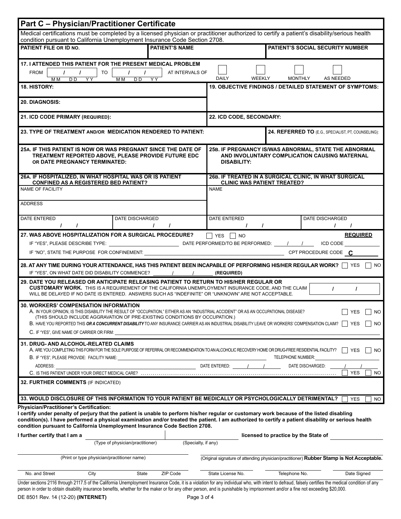| <b>Part C - Physician/Practitioner Certificate</b>                                                                                                                                                                                                                                                                                                                                                                                                |           |                                                     |                     |                                                                                                                              |                                         |                                                     |                   |  |
|---------------------------------------------------------------------------------------------------------------------------------------------------------------------------------------------------------------------------------------------------------------------------------------------------------------------------------------------------------------------------------------------------------------------------------------------------|-----------|-----------------------------------------------------|---------------------|------------------------------------------------------------------------------------------------------------------------------|-----------------------------------------|-----------------------------------------------------|-------------------|--|
| Medical certifications must be completed by a licensed physician or practitioner authorized to certify a patient's disability/serious health                                                                                                                                                                                                                                                                                                      |           |                                                     |                     |                                                                                                                              |                                         |                                                     |                   |  |
| condition pursuant to California Unemployment Insurance Code Section 2708.<br>PATIENT FILE OR ID NO.<br><b>PATIENT'S NAME</b>                                                                                                                                                                                                                                                                                                                     |           |                                                     |                     |                                                                                                                              | <b>PATIENT'S SOCIAL SECURITY NUMBER</b> |                                                     |                   |  |
| 17. I ATTENDED THIS PATIENT FOR THE PRESENT MEDICAL PROBLEM<br><b>FROM</b><br>M <sub>M</sub><br>D <sub>D</sub>                                                                                                                                                                                                                                                                                                                                    | TO<br>YY. | $\prime$<br>$\prime$<br>M M<br>D <sub>D</sub><br>YY | AT INTERVALS OF     | <b>DAILY</b><br><b>WEEKLY</b>                                                                                                | <b>MONTHLY</b>                          | AS NEEDED                                           |                   |  |
| <b>18. HISTORY:</b>                                                                                                                                                                                                                                                                                                                                                                                                                               |           |                                                     |                     | 19. OBJECTIVE FINDINGS / DETAILED STATEMENT OF SYMPTOMS:                                                                     |                                         |                                                     |                   |  |
| 20. DIAGNOSIS:                                                                                                                                                                                                                                                                                                                                                                                                                                    |           |                                                     |                     |                                                                                                                              |                                         |                                                     |                   |  |
| 21. ICD CODE PRIMARY (REQUIRED):                                                                                                                                                                                                                                                                                                                                                                                                                  |           |                                                     |                     | 22. ICD CODE, SECONDARY:                                                                                                     |                                         |                                                     |                   |  |
| 23. TYPE OF TREATMENT AND/OR MEDICATION RENDERED TO PATIENT:                                                                                                                                                                                                                                                                                                                                                                                      |           |                                                     |                     |                                                                                                                              |                                         | 24. REFERRED TO (E.G., SPECIALIST, PT, COUNSELING): |                   |  |
| 25A. IF THIS PATIENT IS NOW OR WAS PREGNANT SINCE THE DATE OF<br>TREATMENT REPORTED ABOVE, PLEASE PROVIDE FUTURE EDC<br>OR DATE PREGNANCY TERMINATED:                                                                                                                                                                                                                                                                                             |           |                                                     |                     | 25B. IF PREGNANCY IS/WAS ABNORMAL, STATE THE ABNORMAL<br>AND INVOLUNTARY COMPLICATION CAUSING MATERNAL<br><b>DISABILITY:</b> |                                         |                                                     |                   |  |
| 26A. IF HOSPITALIZED, IN WHAT HOSPITAL WAS OR IS PATIENT<br><b>CONFINED AS A REGISTERED BED PATIENT?</b>                                                                                                                                                                                                                                                                                                                                          |           |                                                     |                     | 26B. IF TREATED IN A SURGICAL CLINIC, IN WHAT SURGICAL<br><b>CLINIC WAS PATIENT TREATED?</b>                                 |                                         |                                                     |                   |  |
| NAME OF FACILITY                                                                                                                                                                                                                                                                                                                                                                                                                                  |           |                                                     |                     | <b>NAME</b>                                                                                                                  |                                         |                                                     |                   |  |
| <b>ADDRESS</b>                                                                                                                                                                                                                                                                                                                                                                                                                                    |           |                                                     |                     |                                                                                                                              |                                         |                                                     |                   |  |
| DATE ENTERED<br>$\prime$                                                                                                                                                                                                                                                                                                                                                                                                                          |           | DATE DISCHARGED<br>$\prime$                         | $\prime$            | <b>DATE ENTERED</b><br>$\prime$<br>$\prime$                                                                                  |                                         | <b>DATE DISCHARGED</b><br>$\prime$                  |                   |  |
| 27. WAS ABOVE HOSPITALIZATION FOR A SURGICAL PROCEDURE?                                                                                                                                                                                                                                                                                                                                                                                           |           |                                                     |                     | YES   NO                                                                                                                     |                                         |                                                     | <b>REQUIRED</b>   |  |
|                                                                                                                                                                                                                                                                                                                                                                                                                                                   |           |                                                     |                     |                                                                                                                              |                                         | ICD CODE                                            |                   |  |
| IF "YES", PLEASE DESCRIBE TYPE: [11] DATE PERFORMED/TO BE PERFORMED: [12]                                                                                                                                                                                                                                                                                                                                                                         |           |                                                     |                     |                                                                                                                              |                                         |                                                     |                   |  |
| 28. AT ANY TIME DURING YOUR ATTENDANCE, HAS THIS PATIENT BEEN INCAPABLE OF PERFORMING HIS/HER REGULAR WORK?   YES<br><b>NO</b><br>IF "YES", ON WHAT DATE DID DISABILITY COMMENCE?<br>(REQUIRED)                                                                                                                                                                                                                                                   |           |                                                     |                     |                                                                                                                              |                                         |                                                     |                   |  |
| 29. DATE YOU RELEASED OR ANTICIPATE RELEASING PATIENT TO RETURN TO HIS/HER REGULAR OR<br><b>CUSTOMARY WORK.</b> THIS IS A REQUIREMENT OF THE CALIFORNIA UNEMPLOYMENT INSURANCE CODE, AND THE CLAIM<br>$\prime$<br>$\prime$<br>WILL BE DELAYED IF NO DATE IS ENTERED. ANSWERS SUCH AS "INDEFINITE" OR "UNKNOWN" ARE NOT ACCEPTABLE.                                                                                                                |           |                                                     |                     |                                                                                                                              |                                         |                                                     |                   |  |
| <b>30. WORKERS' COMPENSATION INFORMATION</b><br>T YES<br>A. IN YOUR OPINION, IS THIS DISABILITY THE RESULT OF "OCCUPATION," EITHER AS AN "INDUSTRIAL ACCIDENT" OR AS AN OCCUPATIONAL DISEASE?<br>NO.<br>(THIS SHOULD INCLUDE AGGRAVATION OF PRE-EXISTING CONDITIONS BY OCCUPATION.)<br>B. HAVE YOU REPORTED THIS OR A CONCURRENT DISABILITY TO ANY INSURANCE CARRIER AS AN INDUSTRIAL DISABILITY LEAVE OR WORKERS' COMPENSATION CLAIM? VES<br>NO. |           |                                                     |                     |                                                                                                                              |                                         |                                                     |                   |  |
| C. IF "YES", GIVE NAME OF CARRIER OR FIRM:                                                                                                                                                                                                                                                                                                                                                                                                        |           |                                                     |                     |                                                                                                                              |                                         |                                                     |                   |  |
| <b>31. DRUG- AND ALCOHOL-RELATED CLAIMS</b><br>A. ARE YOU COMPLETING THIS FORM FOR THE SOLE PURPOSE OF REFERRAL OR RECOMMENDATION TO AN ALCOHOLIC RECOVERY HOME OR DRUG-FREE RESIDENTIAL FACILITY?<br><b>YES</b><br>NO.<br>TELEPHONE NUMBER:<br>B. IF "YES", PLEASE PROVIDE: FACILITY NAME:                                                                                                                                                       |           |                                                     |                     |                                                                                                                              |                                         |                                                     |                   |  |
| ADDRESS:                                                                                                                                                                                                                                                                                                                                                                                                                                          |           |                                                     |                     | DATE ENTERED:                                                                                                                |                                         | DATE DISCHARGED:                                    |                   |  |
|                                                                                                                                                                                                                                                                                                                                                                                                                                                   |           |                                                     |                     |                                                                                                                              |                                         |                                                     | <b>YES</b><br>NO. |  |
| <b>32. FURTHER COMMENTS (IF INDICATED)</b>                                                                                                                                                                                                                                                                                                                                                                                                        |           |                                                     |                     |                                                                                                                              |                                         |                                                     |                   |  |
| 33. WOULD DISCLOSURE OF THIS INFORMATION TO YOUR PATIENT BE MEDICALLY OR PSYCHOLOGICALLY DETRIMENTAL?                                                                                                                                                                                                                                                                                                                                             |           |                                                     |                     |                                                                                                                              |                                         |                                                     | <b>YES</b><br>NO. |  |
| <b>Physician/Practitioner's Certification:</b><br>I certify under penalty of perjury that the patient is unable to perform his/her regular or customary work because of the listed disabling<br>condition(s). I have performed a physical examination and/or treated the patient. I am authorized to certify a patient disability or serious health<br>condition pursuant to California Unemployment Insurance Code Section 2708.                 |           |                                                     |                     |                                                                                                                              |                                         |                                                     |                   |  |
| I further certify that I am a                                                                                                                                                                                                                                                                                                                                                                                                                     |           |                                                     |                     | licensed to practice by the State of                                                                                         |                                         |                                                     |                   |  |
|                                                                                                                                                                                                                                                                                                                                                                                                                                                   |           | (Type of physician/practitioner)                    | (Specialty, if any) |                                                                                                                              |                                         |                                                     |                   |  |
|                                                                                                                                                                                                                                                                                                                                                                                                                                                   |           | (Print or type physician/practitioner name)         |                     | (Original signature of attending physician/practitioner) Rubber Stamp is Not Acceptable.                                     |                                         |                                                     |                   |  |
| No. and Street                                                                                                                                                                                                                                                                                                                                                                                                                                    | City      | State                                               | ZIP Code            | State License No.                                                                                                            | Telephone No.                           |                                                     | Date Signed       |  |

Under sections 2116 through 2117.5 of the California Unemployment Insurance Code, it is a violation for any individual who, with intent to defraud, falsely certifies the medical condition of any person in order to obtain disability insurance benefits, whether for the maker or for any other person, and is punishable by imprisonment and/or a fine not exceeding \$20,000.